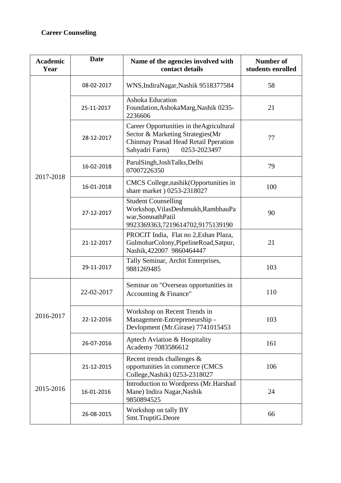## **Career Counseling**

| <b>Academic</b><br>Year | <b>Date</b> | Name of the agencies involved with<br>contact details                                                                                                  | <b>Number of</b><br>students enrolled |
|-------------------------|-------------|--------------------------------------------------------------------------------------------------------------------------------------------------------|---------------------------------------|
| 2017-2018               | 08-02-2017  | WNS, IndiraNagar, Nashik 9518377584                                                                                                                    | 58                                    |
|                         | 25-11-2017  | <b>Ashoka Education</b><br>Foundation, AshokaMarg, Nashik 0235-<br>2236606                                                                             | 21                                    |
|                         | 28-12-2017  | Career Opportunities in the Agricultural<br>Sector & Marketing Strategies(Mr<br>Chinmay Prasad Head Retail Pperation<br>0253-2023497<br>Sahyadri Farm) | 77                                    |
|                         | 16-02-2018  | ParulSingh, JoshTalks, Delhi<br>07007226350                                                                                                            | 79                                    |
|                         | 16-01-2018  | CMCS College, nashik (Opportunities in<br>share market ) 0253-2318027                                                                                  | 100                                   |
|                         | 27-12-2017  | <b>Student Counselling</b><br>Workshop, VilasDeshmukh, RambhauPa<br>war, Somnath Patil<br>9923369363,7219614702,9175139190                             | 90                                    |
|                         | 21-12-2017  | PROCIT India, Flat no 2, Eshan Plaza,<br>GulmoharColony, PipelineRoad, Satpur,<br>Nashik, 422007 9860464447                                            | 21                                    |
|                         | 29-11-2017  | Tally Seminar, Archit Enterprises,<br>9881269485                                                                                                       | 103                                   |
| 2016-2017               | 22-02-2017  | Seminar on "Overseas opportunities in<br>Accounting & Finance"                                                                                         | 110                                   |
|                         | 22-12-2016  | Workshop on Recent Trends in<br>Management-Entrepreneurship -<br>Devlopment (Mr.Girase) 7741015453                                                     | 103                                   |
|                         | 26-07-2016  | Aptech Aviation & Hospitality<br>Academy 7083586612                                                                                                    | 161                                   |
| 2015-2016               | 21-12-2015  | Recent trends challenges &<br>opportunities in commerce (CMCS<br>College, Nashik) 0253-2318027                                                         | 106                                   |
|                         | 16-01-2016  | Introduction to Wordpress (Mr.Harshad<br>Mane) Indira Nagar, Nashik<br>9850894525                                                                      | 24                                    |
|                         | 26-08-2015  | Workshop on tally BY<br>Smt.TruptiG.Deore                                                                                                              | 66                                    |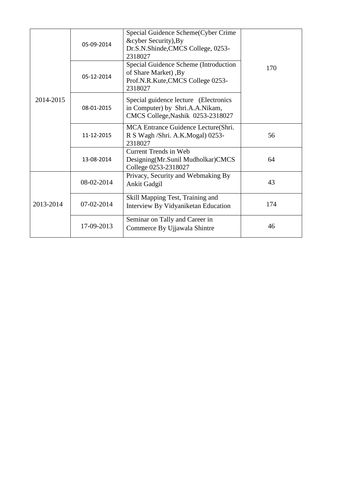| 2014-2015 | 05-09-2014   | Special Guidence Scheme(Cyber Crime<br>&cyber Security), By<br>Dr.S.N.Shinde, CMCS College, 0253-<br>2318027  |     |
|-----------|--------------|---------------------------------------------------------------------------------------------------------------|-----|
|           | 05-12-2014   | Special Guidence Scheme (Introduction<br>of Share Market), By<br>Prof.N.R.Kute,CMCS College 0253-<br>2318027  | 170 |
|           | 08-01-2015   | Special guidence lecture (Electronics<br>in Computer) by Shri.A.A.Nikam,<br>CMCS College, Nashik 0253-2318027 |     |
|           | 11-12-2015   | MCA Entrance Guidence Lecture(Shri.<br>R S Wagh /Shri. A.K.Mogal) 0253-<br>2318027                            | 56  |
|           | 13-08-2014   | Current Trends in Web<br>Designing (Mr. Sunil Mudholkar) CMCS<br>College 0253-2318027                         | 64  |
| 2013-2014 | 08-02-2014   | Privacy, Security and Webmaking By<br>Ankit Gadgil                                                            | 43  |
|           | $07-02-2014$ | Skill Mapping Test, Training and<br>Interview By Vidyaniketan Education                                       | 174 |
|           | 17-09-2013   | Seminar on Tally and Career in<br>Commerce By Ujjawala Shintre                                                | 46  |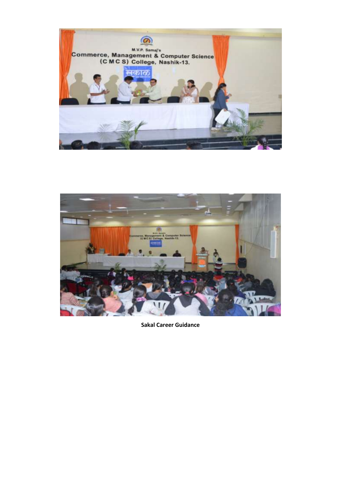



**Sakal Career Guidance**